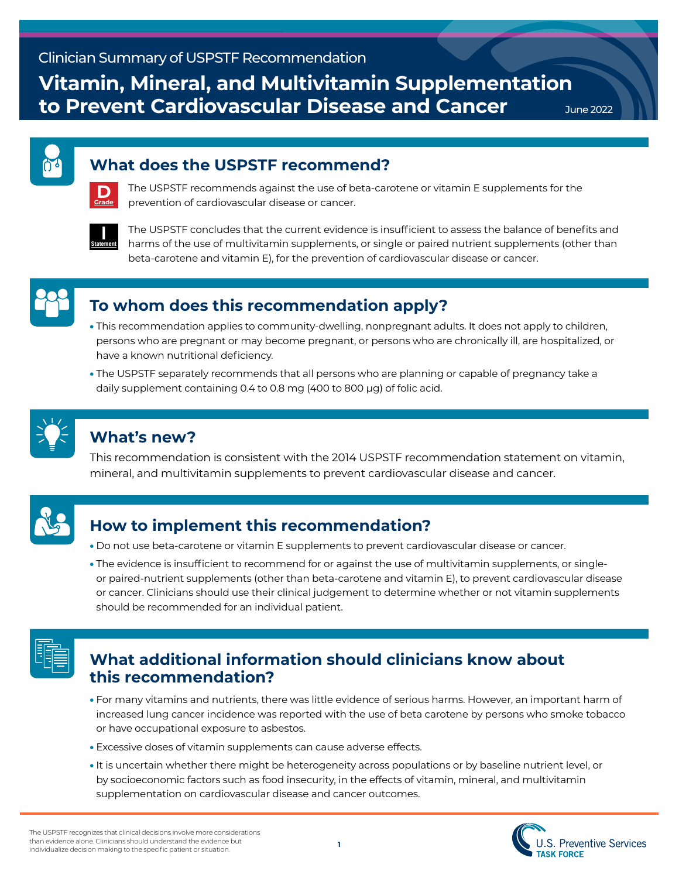**Vitamin, Mineral, and Multivitamin Supplementation to Prevent Cardiovascular Disease and Cancer**

June 2022

### **What does the USPSTF recommend?**



The USPSTF recommends against the use of beta-carotene or vitamin E supplements for the prevention of cardiovascular disease or cancer.



The USPSTF concludes that the current evidence is insufficient to assess the balance of benefits and harms of the use of multivitamin supplements, or single or paired nutrient supplements (other than beta-carotene and vitamin E), for the prevention of cardiovascular disease or cancer.



## **To whom does this recommendation apply?**

- This recommendation applies to community-dwelling, nonpregnant adults. It does not apply to children, persons who are pregnant or may become pregnant, or persons who are chronically ill, are hospitalized, or have a known nutritional deficiency.
- The USPSTF separately recommends that all persons who are planning or capable of pregnancy take a daily supplement containing 0.4 to 0.8 mg (400 to 800 μg) of folic acid.



## **What's new?**

This recommendation is consistent with the 2014 USPSTF recommendation statement on vitamin, mineral, and multivitamin supplements to prevent cardiovascular disease and cancer.



# **How to implement this recommendation?**

- Do not use beta-carotene or vitamin E supplements to prevent cardiovascular disease or cancer.
- The evidence is insufficient to recommend for or against the use of multivitamin supplements, or singleor paired-nutrient supplements (other than beta-carotene and vitamin E), to prevent cardiovascular disease or cancer. Clinicians should use their clinical judgement to determine whether or not vitamin supplements should be recommended for an individual patient.



## **What additional information should clinicians know about this recommendation?**

- For many vitamins and nutrients, there was little evidence of serious harms. However, an important harm of increased lung cancer incidence was reported with the use of beta carotene by persons who smoke tobacco or have occupational exposure to asbestos.
- Excessive doses of vitamin supplements can cause adverse effects.
- It is uncertain whether there might be heterogeneity across populations or by baseline nutrient level, or by socioeconomic factors such as food insecurity, in the effects of vitamin, mineral, and multivitamin supplementation on cardiovascular disease and cancer outcomes.